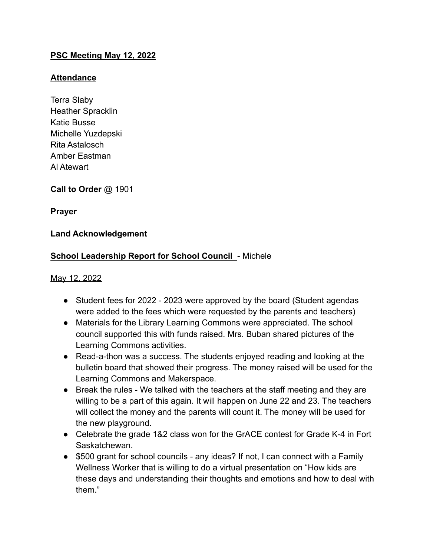## **PSC Meeting May 12, 2022**

### **Attendance**

Terra Slaby Heather Spracklin Katie Busse Michelle Yuzdepski Rita Astalosch Amber Eastman Al Atewart

**Call to Order** @ 1901

**Prayer**

## **Land Acknowledgement**

## **School Leadership Report for School Council - Michele**

#### May 12, 2022

- Student fees for 2022 2023 were approved by the board (Student agendas were added to the fees which were requested by the parents and teachers)
- Materials for the Library Learning Commons were appreciated. The school council supported this with funds raised. Mrs. Buban shared pictures of the Learning Commons activities.
- Read-a-thon was a success. The students enjoyed reading and looking at the bulletin board that showed their progress. The money raised will be used for the Learning Commons and Makerspace.
- Break the rules We talked with the teachers at the staff meeting and they are willing to be a part of this again. It will happen on June 22 and 23. The teachers will collect the money and the parents will count it. The money will be used for the new playground.
- Celebrate the grade 1&2 class won for the GrACE contest for Grade K-4 in Fort Saskatchewan.
- \$500 grant for school councils any ideas? If not, I can connect with a Family Wellness Worker that is willing to do a virtual presentation on "How kids are these days and understanding their thoughts and emotions and how to deal with them."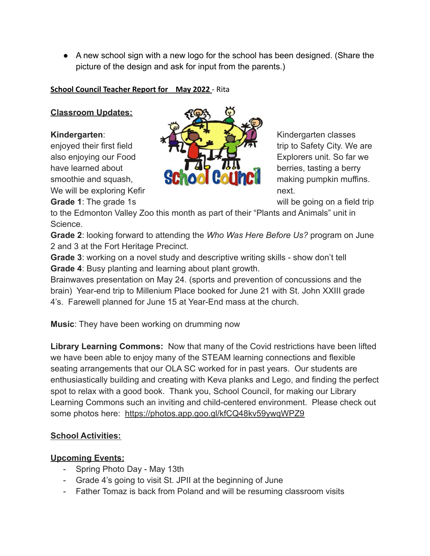● A new school sign with a new logo for the school has been designed. (Share the picture of the design and ask for input from the parents.)

## **School Council Teacher Report for May 2022** - Rita

# **Classroom Updates:**



**Grade 1**: The grade 1s **Grade** 1s will be going on a field trip

to the Edmonton Valley Zoo this month as part of their "Plants and Animals" unit in Science.

**Grade 2**: looking forward to attending the *Who Was Here Before Us?* program on June 2 and 3 at the Fort Heritage Precinct.

**Grade 3**: working on a novel study and descriptive writing skills - show don't tell **Grade 4**: Busy planting and learning about plant growth.

Brainwaves presentation on May 24. (sports and prevention of concussions and the brain) Year-end trip to Millenium Place booked for June 21 with St. John XXIII grade 4's. Farewell planned for June 15 at Year-End mass at the church.

**Music**: They have been working on drumming now

**Library Learning Commons:** Now that many of the Covid restrictions have been lifted we have been able to enjoy many of the STEAM learning connections and flexible seating arrangements that our OLA SC worked for in past years. Our students are enthusiastically building and creating with Keva planks and Lego, and finding the perfect spot to relax with a good book. Thank you, School Council, for making our Library Learning Commons such an inviting and child-centered environment. Please check out some photos here: <https://photos.app.goo.gl/kfCQ48kv59ywqWPZ9>

# **School Activities:**

# **Upcoming Events:**

- Spring Photo Day May 13th
- Grade 4's going to visit St. JPII at the beginning of June
- Father Tomaz is back from Poland and will be resuming classroom visits